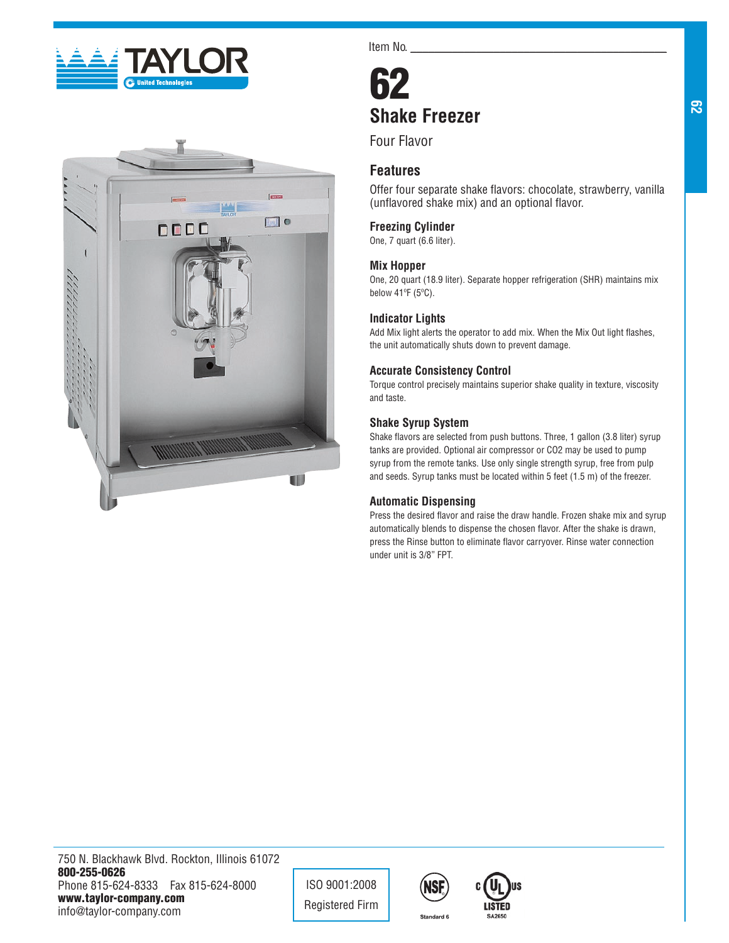



Item No.

# 62 **Shake Freezer**

Four Flavor

# **Features**

Offer four separate shake flavors: chocolate, strawberry, vanilla (unflavored shake mix) and an optional flavor.

## **Freezing Cylinder**

One, 7 quart (6.6 liter).

## **Mix Hopper**

One, 20 quart (18.9 liter). Separate hopper refrigeration (SHR) maintains mix below 41ºF (5ºC).

## **Indicator Lights**

Add Mix light alerts the operator to add mix. When the Mix Out light flashes, the unit automatically shuts down to prevent damage.

## **Accurate Consistency Control**

Torque control precisely maintains superior shake quality in texture, viscosity and taste.

## **Shake Syrup System**

Shake flavors are selected from push buttons. Three, 1 gallon (3.8 liter) syrup tanks are provided. Optional air compressor or CO2 may be used to pump syrup from the remote tanks. Use only single strength syrup, free from pulp and seeds. Syrup tanks must be located within 5 feet (1.5 m) of the freezer.

## **Automatic Dispensing**

Press the desired flavor and raise the draw handle. Frozen shake mix and syrup automatically blends to dispense the chosen flavor. After the shake is drawn, press the Rinse button to eliminate flavor carryover. Rinse water connection under unit is 3/8" FPT.

**62**

ISO 9001:2008 Registered Firm